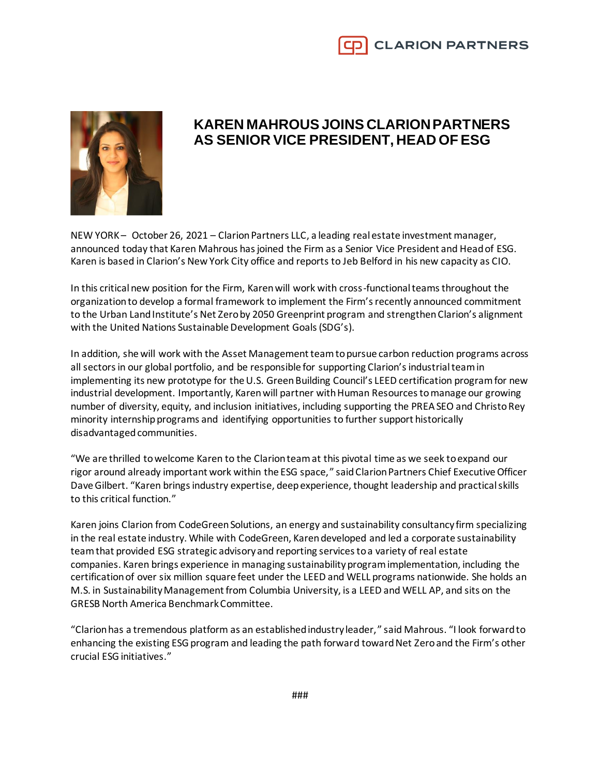

## **KAREN MAHROUSJOINS CLARION PARTNERS AS SENIOR VICE PRESIDENT, HEAD OF ESG**

NEW YORK – October 26, 2021 – Clarion Partners LLC, a leading real estate investment manager, announced today that Karen Mahrous has joined the Firm as a Senior Vice President and Head of ESG. Karen is based in Clarion's New York City office and reports to Jeb Belford in his new capacity as CIO.

In this critical new position for the Firm, Karen will work with cross-functional teams throughout the organization to develop a formal framework to implement the Firm's recently announced commitment to the Urban Land Institute's Net Zero by 2050 Greenprint program and strengthen Clarion's alignment with the United Nations Sustainable Development Goals (SDG's).

In addition, she will work with the Asset Management team to pursue carbon reduction programs across all sectors in our global portfolio, and be responsible for supporting Clarion's industrial team in implementing its new prototype for the U.S. Green Building Council's LEED certification program for new industrial development. Importantly, Karen will partner with Human Resources to manage our growing number of diversity, equity, and inclusion initiatives, including supporting the PREA SEO and Christo Rey minority internship programs and identifying opportunities to further support historically disadvantaged communities.

"We are thrilled to welcome Karen to the Clarion team at this pivotal time as we seek to expand our rigor around already important work within the ESG space," said Clarion Partners Chief Executive Officer Dave Gilbert. "Karen brings industry expertise, deep experience, thought leadership and practical skills to this critical function."

Karen joins Clarion from CodeGreen Solutions, an energy and sustainability consultancy firm specializing in the real estate industry. While with CodeGreen, Karen developed and led a corporate sustainability team that provided ESG strategic advisory and reporting services to a variety of real estate companies. Karen brings experience in managing sustainability program implementation, including the certification of over six million square feet under the LEED and WELL programs nationwide. She holds an M.S. in Sustainability Management from Columbia University, is a LEED and WELL AP, and sits on the GRESB North America Benchmark Committee.

"Clarion has a tremendous platform as an established industry leader," said Mahrous. "I look forward to enhancing the existing ESG program and leading the path forward toward Net Zero and the Firm's other crucial ESG initiatives."